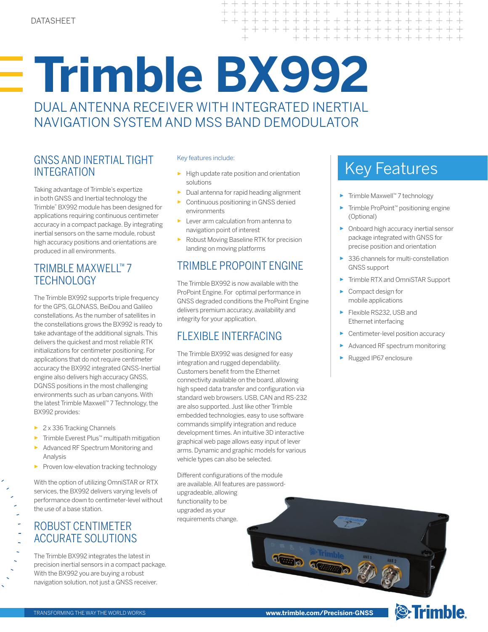# **Trimble BX992** DUAL ANTENNA RECEIVER WITH INTEGRATED INERTIAL NAVIGATION SYSTEM AND MSS BAND DEMODULATOR

## GNSS AND INERTIAL TIGHT INTEGRATION

Taking advantage of Trimble's expertize in both GNSS and Inertial technology the Trimble® BX992 module has been designed for applications requiring continuous centimeter accuracy in a compact package. By integrating inertial sensors on the same module, robust high accuracy positions and orientations are produced in all environments.

# TRIMBLE MAXWELL™ 7 **TECHNOLOGY**

The Trimble BX992 supports triple frequency for the GPS, GLONASS, BeiDou and Galileo constellations. As the number of satellites in the constellations grows the BX992 is ready to take advantage of the additional signals. This delivers the quickest and most reliable RTK initializations for centimeter positioning. For applications that do not require centimeter accuracy the BX992 integrated GNSS-Inertial engine also delivers high accuracy GNSS, DGNSS positions in the most challenging environments such as urban canyons. With the latest Trimble Maxwell™ 7 Technology, the BX992 provides:

- ► 2 x 336 Tracking Channels
- ► Trimble Everest Plus™ multipath mitigation
- ► Advanced RF Spectrum Monitoring and Analysis
- ► Proven low-elevation tracking technology

With the option of utilizing OmniSTAR or RTX services, the BX992 delivers varying levels of performance down to centimeter-level without the use of a base station.

## ROBUST CENTIMETER ACCURATE SOLUTIONS

The Trimble BX992 integrates the latest in precision inertial sensors in a compact package. With the BX992 you are buying a robust navigation solution, not just a GNSS receiver.

### Key features include:

► High update rate position and orientation solutions

 $+$  $++$ 

 $\overline{\phantom{0}}$ 

 $\perp$ 

 $+$  $+$  $\overline{\phantom{0}}$  $\hspace{0.1mm} +$ 

 $\!+\!$  $\perp$  $+$   $+$  $+$  $\perp$  $+$  $+$  $+$  $\perp$ 

 $+ + + +$ 

 $+ + + + +$ 

- Dual antenna for rapid heading alignment
- Continuous positioning in GNSS denied environments
- ► Lever arm calculation from antenna to navigation point of interest
- ► Robust Moving Baseline RTK for precision landing on moving platforms

# TRIMBLE PROPOINT ENGINE

The Trimble BX992 is now available with the ProPoint Engine. For optimal performance in GNSS degraded conditions the ProPoint Engine delivers premium accuracy, availability and integrity for your application.

# FLEXIBLE INTERFACING

The Trimble BX992 was designed for easy integration and rugged dependability. Customers benefit from the Ethernet connectivity available on the board, allowing high speed data transfer and configuration via standard web browsers. USB, CAN and RS-232 are also supported. Just like other Trimble embedded technologies, easy to use software commands simplify integration and reduce development times. An intuitive 3D interactive graphical web page allows easy input of lever arms. Dynamic and graphic models for various vehicle types can also be selected.

Different configurations of the module are available. All features are passwordupgradeable, allowing functionality to be upgraded as your requirements change.

# Key Features

+ + + + + + +

+ + + + + + + + + + + + +

+ + + + + + + + + +

- ► Trimble Maxwell™ 7 technology
- ► Trimble ProPoint™ positioning engine (Optional)
- ► Onboard high accuracy inertial sensor package integrated with GNSS for precise position and orientation
- ► 336 channels for multi-constellation GNSS support
- ► Trimble RTX and OmniSTAR Support
- ► Compact design for mobile applications
- ► Flexible RS232, USB and Ethernet interfacing
- ► Centimeter-level position accuracy
- Advanced RF spectrum monitoring

<sup><sup>®</sup>Trimble.</sup>

► Rugged IP67 enclosure